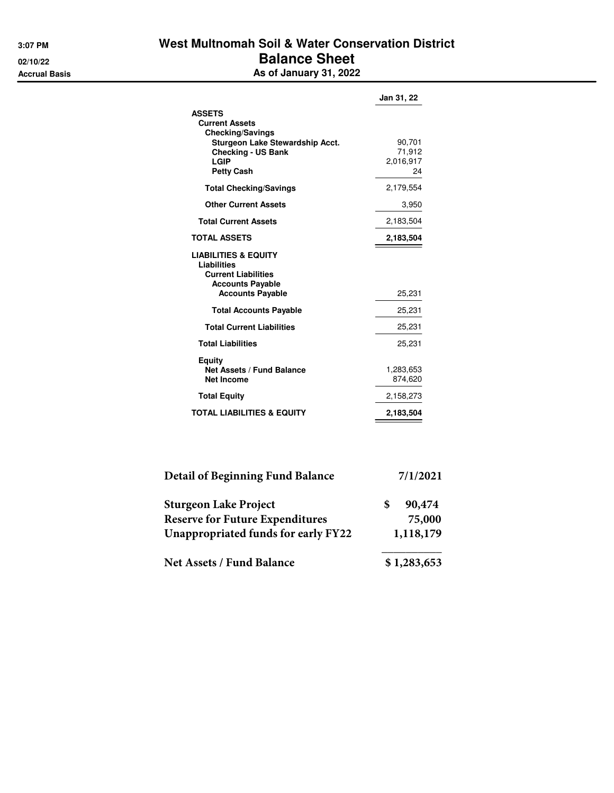## **3:07 PM West Multnomah Soil & Water Conservation District 02/10/22 Balance Sheet Accrual Basis As of January 31, 2022**

|                                                                                                                                                                | Jan 31, 22                          |
|----------------------------------------------------------------------------------------------------------------------------------------------------------------|-------------------------------------|
| <b>ASSETS</b><br><b>Current Assets</b><br><b>Checking/Savings</b><br>Sturgeon Lake Stewardship Acct.<br><b>Checking - US Bank</b><br>LGIP<br><b>Petty Cash</b> | 90,701<br>71.912<br>2,016,917<br>24 |
| <b>Total Checking/Savings</b>                                                                                                                                  | 2,179,554                           |
| <b>Other Current Assets</b>                                                                                                                                    | 3,950                               |
| <b>Total Current Assets</b>                                                                                                                                    | 2,183,504                           |
| <b>TOTAL ASSETS</b>                                                                                                                                            | 2,183,504                           |
| <b>LIABILITIES &amp; EQUITY</b><br>Liabilities<br><b>Current Liabilities</b><br><b>Accounts Payable</b><br><b>Accounts Payable</b>                             | 25,231                              |
| <b>Total Accounts Payable</b>                                                                                                                                  | 25,231                              |
| <b>Total Current Liabilities</b>                                                                                                                               | 25,231                              |
| <b>Total Liabilities</b>                                                                                                                                       | 25,231                              |
| Equity<br><b>Net Assets / Fund Balance</b><br><b>Net Income</b>                                                                                                | 1,283,653<br>874,620                |
| <b>Total Equity</b>                                                                                                                                            | 2,158,273                           |
| <b>TOTAL LIABILITIES &amp; EQUITY</b>                                                                                                                          | 2,183,504                           |

| <b>Detail of Beginning Fund Balance</b> | 7/1/2021  |             |  |  |
|-----------------------------------------|-----------|-------------|--|--|
| Sturgeon Lake Project                   |           | 90,474      |  |  |
| <b>Reserve for Future Expenditures</b>  |           | 75,000      |  |  |
| Unappropriated funds for early FY22     | 1,118,179 |             |  |  |
| <b>Net Assets / Fund Balance</b>        |           | \$1,283,653 |  |  |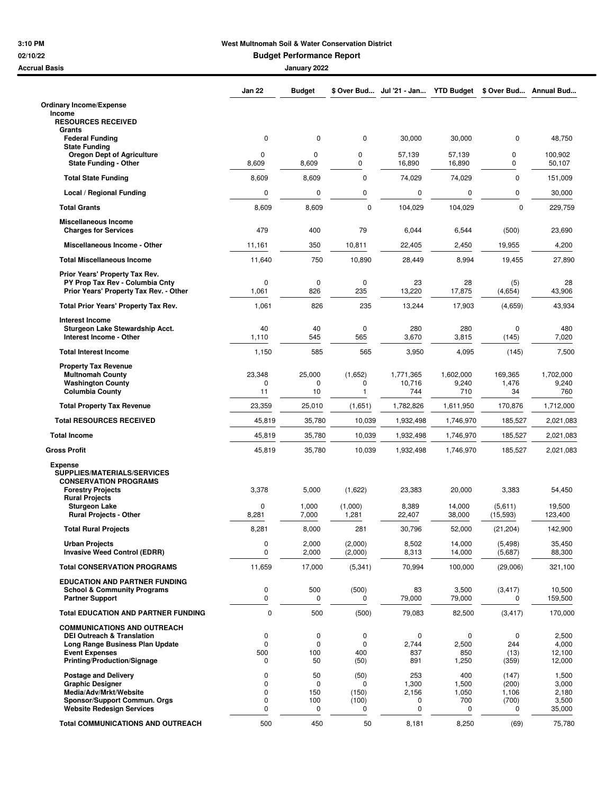## **3:10 PM West Multnomah Soil & Water Conservation District**

**02/10/22 Budget Performance Report**

| Accrual Basis                                                                 | January 2022         |                    |                    |                            |                           |                      |                   |
|-------------------------------------------------------------------------------|----------------------|--------------------|--------------------|----------------------------|---------------------------|----------------------|-------------------|
|                                                                               | Jan 22               | <b>Budget</b>      |                    | \$ Over Bud Jul '21 - Jan  | <b>YTD Budget</b>         | \$ Over Bud          | <b>Annual Bud</b> |
| <b>Ordinary Income/Expense</b>                                                |                      |                    |                    |                            |                           |                      |                   |
| Income<br><b>RESOURCES RECEIVED</b>                                           |                      |                    |                    |                            |                           |                      |                   |
| Grants<br><b>Federal Funding</b>                                              | $\mathbf 0$          | 0                  | 0                  | 30,000                     | 30,000                    | 0                    | 48,750            |
| <b>State Funding</b><br><b>Oregon Dept of Agriculture</b>                     | 0                    | 0                  | 0                  |                            |                           | 0                    |                   |
| <b>State Funding - Other</b>                                                  | 8,609                | 8,609              | 0                  | 57,139<br>16,890           | 57,139<br>16,890          | 0                    | 100,902<br>50,107 |
| <b>Total State Funding</b>                                                    | 8,609                | 8,609              | 0                  | 74,029                     | 74,029                    | $\mathbf 0$          | 151,009           |
| Local / Regional Funding                                                      | 0                    | 0                  | 0                  | 0                          | 0                         | 0                    | 30,000            |
| <b>Total Grants</b>                                                           | 8,609                | 8,609              | $\mathbf 0$        | 104,029                    | 104,029                   | 0                    | 229,759           |
| <b>Miscellaneous Income</b><br><b>Charges for Services</b>                    | 479                  | 400                | 79                 | 6,044                      | 6,544                     | (500)                | 23,690            |
| Miscellaneous Income - Other                                                  | 11,161               | 350                | 10,811             | 22,405                     | 2,450                     | 19,955               | 4,200             |
| <b>Total Miscellaneous Income</b>                                             | 11,640               | 750                | 10,890             | 28,449                     | 8,994                     | 19,455               | 27,890            |
| Prior Years' Property Tax Rev.                                                |                      |                    |                    |                            |                           |                      |                   |
| PY Prop Tax Rev - Columbia Cntv<br>Prior Years' Property Tax Rev. - Other     | $\mathbf 0$<br>1,061 | $\mathbf 0$<br>826 | $\mathbf 0$<br>235 | 23<br>13,220               | 28<br>17,875              | (5)<br>(4,654)       | 28<br>43,906      |
| Total Prior Years' Property Tax Rev.                                          | 1,061                | 826                | 235                | 13,244                     | 17,903                    | (4,659)              | 43,934            |
| <b>Interest Income</b>                                                        |                      |                    |                    |                            |                           |                      |                   |
| Sturgeon Lake Stewardship Acct.<br>Interest Income - Other                    | 40<br>1,110          | 40<br>545          | 0<br>565           | 280<br>3,670               | 280<br>3,815              | 0<br>(145)           | 480<br>7,020      |
| <b>Total Interest Income</b>                                                  | 1,150                | 585                | 565                | 3,950                      | 4,095                     | (145)                | 7,500             |
| <b>Property Tax Revenue</b><br><b>Multnomah County</b>                        | 23,348               | 25,000             | (1,652)            |                            |                           | 169,365              | 1,702,000         |
| <b>Washington County</b><br><b>Columbia County</b>                            | 0<br>11              | 0<br>10            | 0<br>$\mathbf{1}$  | 1,771,365<br>10,716<br>744 | 1,602,000<br>9,240<br>710 | 1,476<br>34          | 9,240<br>760      |
| <b>Total Property Tax Revenue</b>                                             | 23,359               | 25,010             | (1,651)            | 1,782,826                  | 1,611,950                 | 170,876              | 1,712,000         |
| <b>Total RESOURCES RECEIVED</b>                                               | 45,819               | 35,780             | 10,039             | 1,932,498                  | 1,746,970                 | 185,527              | 2,021,083         |
| <b>Total Income</b>                                                           | 45,819               | 35,780             | 10,039             | 1,932,498                  | 1,746,970                 | 185,527              | 2,021,083         |
| <b>Gross Profit</b>                                                           | 45,819               | 35,780             | 10,039             | 1,932,498                  | 1,746,970                 | 185,527              | 2,021,083         |
| <b>Expense</b><br>SUPPLIES/MATERIALS/SERVICES<br><b>CONSERVATION PROGRAMS</b> |                      |                    |                    |                            |                           |                      |                   |
| <b>Forestry Projects</b><br><b>Rural Projects</b>                             | 3,378                | 5,000              | (1,622)            | 23,383                     | 20,000                    | 3,383                | 54,450            |
| <b>Sturgeon Lake</b><br><b>Rural Projects - Other</b>                         | 0<br>8,281           | 1,000<br>7,000     | (1,000)<br>1,281   | 8,389<br>22,407            | 14,000<br>38,000          | (5,611)<br>(15, 593) | 19,500<br>123,400 |
| <b>Total Rural Projects</b>                                                   | 8,281                | 8,000              | 281                | 30,796                     | 52,000                    | (21, 204)            | 142,900           |
| <b>Urban Projects</b><br><b>Invasive Weed Control (EDRR)</b>                  | 0<br>0               | 2,000<br>2,000     | (2,000)<br>(2,000) | 8,502<br>8,313             | 14,000<br>14,000          | (5, 498)<br>(5,687)  | 35,450<br>88,300  |
| <b>Total CONSERVATION PROGRAMS</b>                                            | 11,659               | 17,000             | (5, 341)           | 70,994                     | 100,000                   | (29,006)             | 321,100           |
| <b>EDUCATION AND PARTNER FUNDING</b>                                          |                      |                    |                    |                            |                           |                      |                   |
| <b>School &amp; Community Programs</b><br><b>Partner Support</b>              | $\mathbf 0$<br>0     | 500<br>0           | (500)<br>0         | 83<br>79,000               | 3,500<br>79,000           | (3, 417)<br>0        | 10,500<br>159,500 |
| <b>Total EDUCATION AND PARTNER FUNDING</b>                                    | $\mathbf 0$          | 500                | (500)              | 79,083                     | 82,500                    | (3, 417)             | 170,000           |
| <b>COMMUNICATIONS AND OUTREACH</b><br><b>DEI Outreach &amp; Translation</b>   | 0                    | 0                  | 0                  | 0                          | 0                         | 0                    |                   |
| Long Range Business Plan Update                                               | $\mathbf 0$          | $\mathbf 0$        | $\mathbf 0$        | 2,744                      | 2,500                     | 244                  | 2,500<br>4,000    |
| <b>Event Expenses</b><br><b>Printing/Production/Signage</b>                   | 500<br>0             | 100<br>50          | 400<br>(50)        | 837<br>891                 | 850<br>1,250              | (13)<br>(359)        | 12,100<br>12,000  |
| <b>Postage and Delivery</b>                                                   | 0                    | 50                 | (50)               | 253                        | 400                       | (147)                | 1,500             |
| <b>Graphic Designer</b><br>Media/Adv/Mrkt/Website                             | 0<br>$\mathbf 0$     | 0                  | $\Omega$           | 1,300                      | 1,500                     | (200)                | 3,000             |
| Sponsor/Support Commun. Orgs                                                  | 0                    | 150<br>100         | (150)<br>(100)     | 2,156<br>0                 | 1,050<br>700              | 1,106<br>(700)       | 2,180<br>3,500    |
| <b>Website Redesign Services</b>                                              | 0                    | 0                  | 0                  | 0                          | 0                         | 0                    | 35,000            |
| <b>Total COMMUNICATIONS AND OUTREACH</b>                                      | 500                  | 450                | 50                 | 8,181                      | 8,250                     | (69)                 | 75,780            |